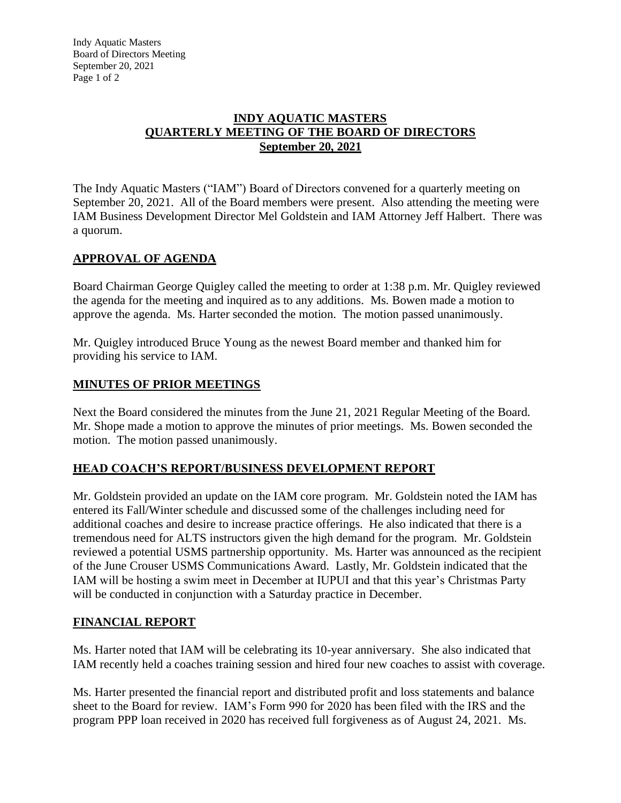#### **INDY AQUATIC MASTERS QUARTERLY MEETING OF THE BOARD OF DIRECTORS September 20, 2021**

The Indy Aquatic Masters ("IAM") Board of Directors convened for a quarterly meeting on September 20, 2021. All of the Board members were present. Also attending the meeting were IAM Business Development Director Mel Goldstein and IAM Attorney Jeff Halbert. There was a quorum.

# **APPROVAL OF AGENDA**

Board Chairman George Quigley called the meeting to order at 1:38 p.m. Mr. Quigley reviewed the agenda for the meeting and inquired as to any additions. Ms. Bowen made a motion to approve the agenda. Ms. Harter seconded the motion. The motion passed unanimously.

Mr. Quigley introduced Bruce Young as the newest Board member and thanked him for providing his service to IAM.

## **MINUTES OF PRIOR MEETINGS**

Next the Board considered the minutes from the June 21, 2021 Regular Meeting of the Board. Mr. Shope made a motion to approve the minutes of prior meetings. Ms. Bowen seconded the motion. The motion passed unanimously.

## **HEAD COACH'S REPORT/BUSINESS DEVELOPMENT REPORT**

Mr. Goldstein provided an update on the IAM core program. Mr. Goldstein noted the IAM has entered its Fall/Winter schedule and discussed some of the challenges including need for additional coaches and desire to increase practice offerings. He also indicated that there is a tremendous need for ALTS instructors given the high demand for the program. Mr. Goldstein reviewed a potential USMS partnership opportunity. Ms. Harter was announced as the recipient of the June Crouser USMS Communications Award. Lastly, Mr. Goldstein indicated that the IAM will be hosting a swim meet in December at IUPUI and that this year's Christmas Party will be conducted in conjunction with a Saturday practice in December.

## **FINANCIAL REPORT**

Ms. Harter noted that IAM will be celebrating its 10-year anniversary. She also indicated that IAM recently held a coaches training session and hired four new coaches to assist with coverage.

Ms. Harter presented the financial report and distributed profit and loss statements and balance sheet to the Board for review. IAM's Form 990 for 2020 has been filed with the IRS and the program PPP loan received in 2020 has received full forgiveness as of August 24, 2021. Ms.